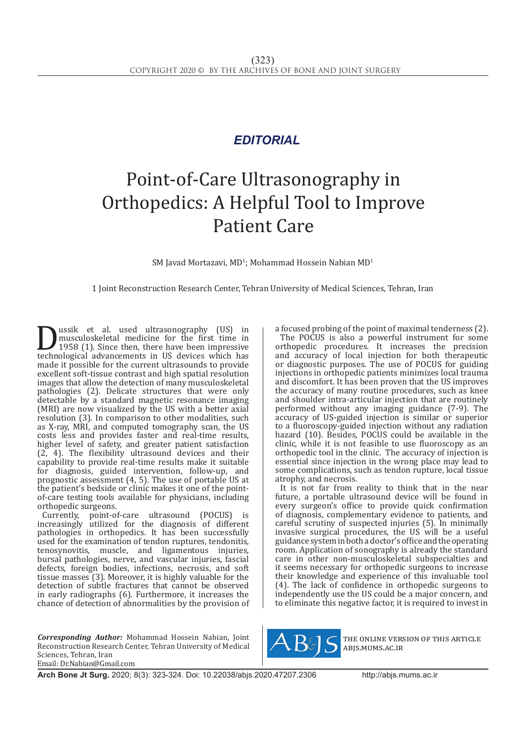## *EDITORIAL*

## Point-of-Care Ultrasonography in Orthopedics: A Helpful Tool to Improve Patient Care

 $SM$  Javad Mortazavi, MD<sup>1</sup>; Mohammad Hossein Nabian MD<sup>1</sup>

1 Joint Reconstruction Research Center, Tehran University of Medical Sciences, Tehran, Iran

**Dussik et al. used ultrasonography (US)** in<br>musculoskeletal medicine for the first time in<br>technological advancements in US devices which has<br>made it possible for the current ultrasounds to provide musculoskeletal medicine for the first time in 1958 (1). Since then, there have been impressive technological advancements in US devices which has made it possible for the current ultrasounds to provide excellent soft-tissue contrast and high spatial resolution images that allow the detection of many musculoskeletal pathologies (2). Delicate structures that were only detectable by a standard magnetic resonance imaging (MRI) are now visualized by the US with a better axial resolution (3). In comparison to other modalities, such as X-ray, MRI, and computed tomography scan, the US costs less and provides faster and real-time results, higher level of safety, and greater patient satisfaction (2, 4). The flexibility ultrasound devices and their capability to provide real-time results make it suitable for diagnosis, guided intervention, follow-up, and prognostic assessment (4, 5). The use of portable US at the patient's bedside or clinic makes it one of the pointof-care testing tools available for physicians, including orthopedic surgeons.

Currently, point-of-care ultrasound (POCUS) is increasingly utilized for the diagnosis of different pathologies in orthopedics. It has been successfully used for the examination of tendon ruptures, tendonitis, tenosynovitis, muscle, and ligamentous injuries, bursal pathologies, nerve, and vascular injuries, fascial defects, foreign bodies, infections, necrosis, and soft tissue masses (3). Moreover, it is highly valuable for the detection of subtle fractures that cannot be observed in early radiographs (6). Furthermore, it increases the chance of detection of abnormalities by the provision of

*Corresponding Author:* Mohammad Hossein Nabian, Joint Reconstruction Research Center, Tehran University of Medical Sciences, Tehran, Iran Email: Dr.Nabian@Gmail.com

a focused probing of the point of maximal tenderness (2). The POCUS is also a powerful instrument for some orthopedic procedures. It increases the precision and accuracy of local injection for both therapeutic or diagnostic purposes. The use of POCUS for guiding injections in orthopedic patients minimizes local trauma and discomfort. It has been proven that the US improves the accuracy of many routine procedures, such as knee and shoulder intra-articular injection that are routinely performed without any imaging guidance (7-9). The accuracy of US-guided injection is similar or superior to a fluoroscopy-guided injection without any radiation hazard (10). Besides, POCUS could be available in the clinic, while it is not feasible to use fluoroscopy as an orthopedic tool in the clinic. The accuracy of injection is essential since injection in the wrong place may lead to some complications, such as tendon rupture, local tissue atrophy, and necrosis.

It is not far from reality to think that in the near future, a portable ultrasound device will be found in every surgeon's office to provide quick confirmation of diagnosis, complementary evidence to patients, and careful scrutiny of suspected injuries (5). In minimally invasive surgical procedures, the US will be a useful guidance system in both a doctor's office and the operating room. Application of sonography is already the standard care in other non-musculoskeletal subspecialties and it seems necessary for orthopedic surgeons to increase their knowledge and experience of this invaluable tool (4). The lack of confidence in orthopedic surgeons to independently use the US could be a major concern, and to eliminate this negative factor, it is required to invest in



the online version of this article abjs.mums.ac.ir

**Arch Bone Jt Surg.** 2020; 8(3): 323-324. Doi: 10.22038/abjs.2020.47207.2306http://abjs.mums.ac.ir